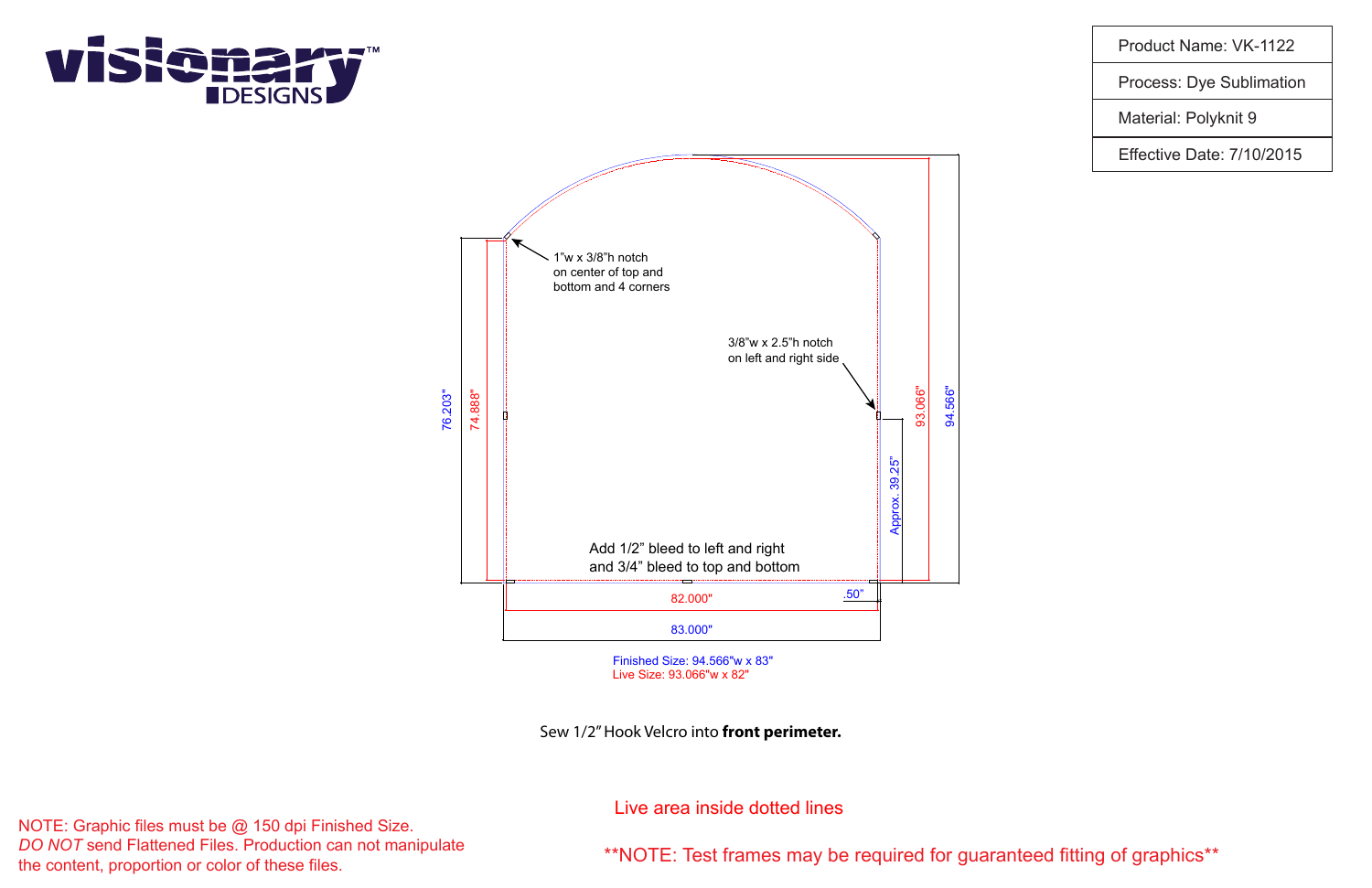\*\*NOTE: Test frames may be required for guaranteed fitting of graphics\*\*

NOTE: Graphic files must be @ 150 dpi Finished Size. *DO NOT* send Flattened Files. Production can not manipulate the content, proportion or color of these files.

Product Name: VK-1122

Process: Dye Sublimation

Material: Polyknit 9

Effective Date: 7/10/2015

Live area inside dotted lines

Finished Size: 94.566"w x 83" Live Size: 93.066"w x 82"

Sew 1/2" Hook Velcro into **front perimeter.**



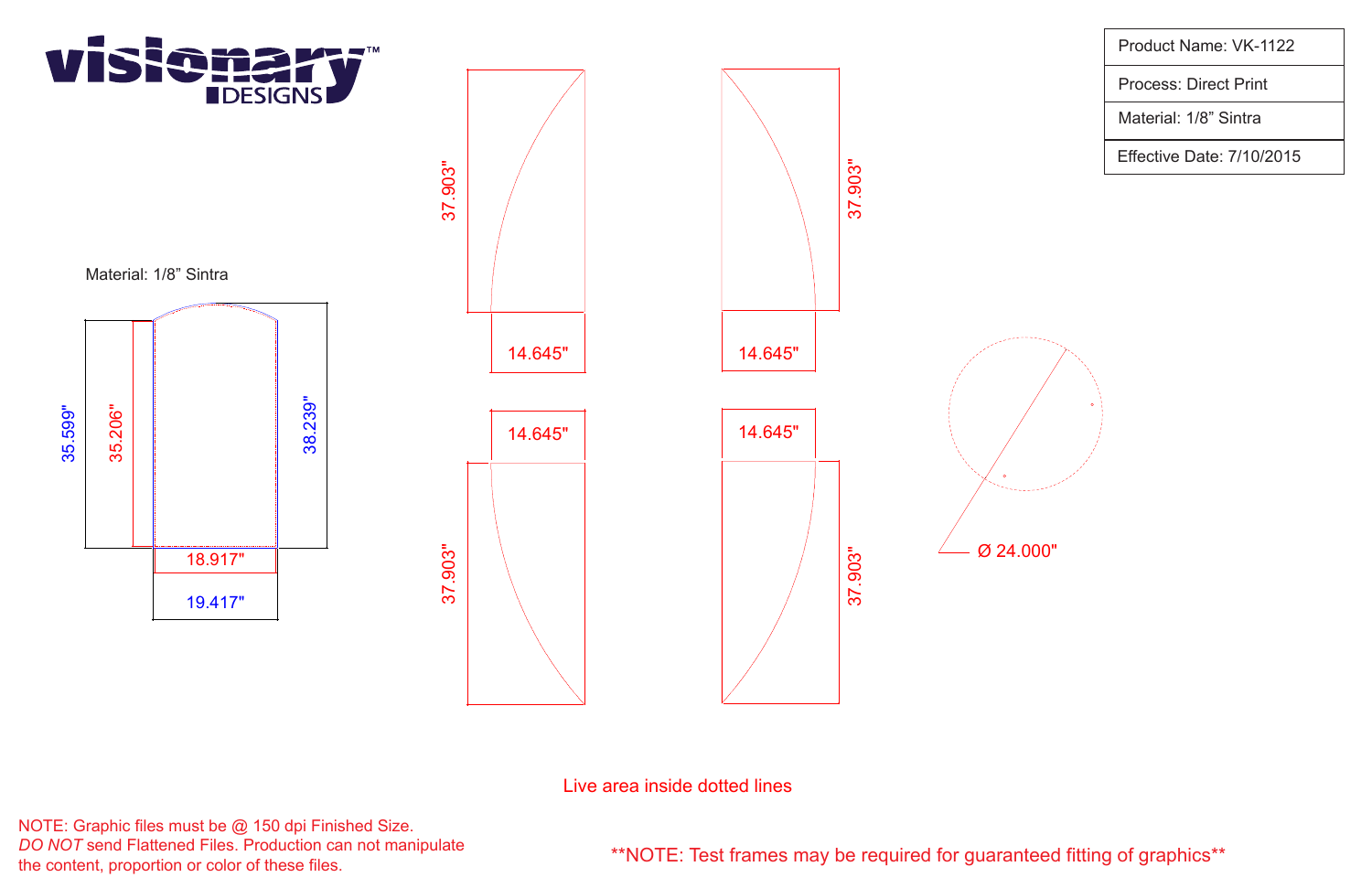

ო <u>ნ.</u><br>თ တ $\overline{\mathbf{c}}$ .<br>රා

NOTE: Graphic files must be @ 150 dpi Finished Size. *DO NOT* send Flattened Files. Production can not manipulate the content, proportion or color of these files.

\*\*NOTE: Test frames may be required for guaranteed fitting of graphics\*\*

Product Name: VK-1122

Process: Direct Print

Material: 1/8" Sintra

Effective Date: 7/10/2015



Live area inside dotted lines



Ø 24.000"